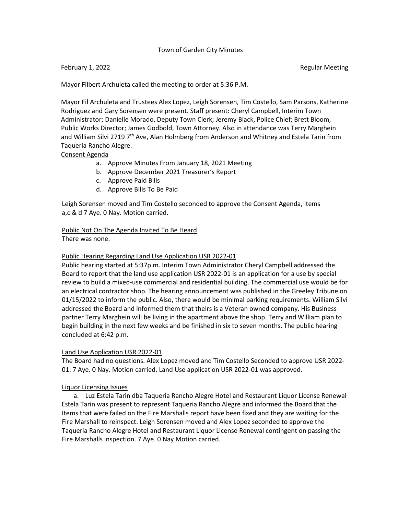## Town of Garden City Minutes

## February 1, 2022 **Regular Meeting**

Mayor Filbert Archuleta called the meeting to order at 5:36 P.M.

Mayor Fil Archuleta and Trustees Alex Lopez, Leigh Sorensen, Tim Costello, Sam Parsons, Katherine Rodriguez and Gary Sorensen were present. Staff present: Cheryl Campbell, Interim Town Administrator; Danielle Morado, Deputy Town Clerk; Jeremy Black, Police Chief; Brett Bloom, Public Works Director; James Godbold, Town Attorney. Also in attendance was Terry Marghein and William Silvi 2719  $7<sup>th</sup>$  Ave, Alan Holmberg from Anderson and Whitney and Estela Tarin from Taqueria Rancho Alegre.

## Consent Agenda

- a. Approve Minutes From January 18, 2021 Meeting
- b. Approve December 2021 Treasurer's Report
- c. Approve Paid Bills
- d. Approve Bills To Be Paid

Leigh Sorensen moved and Tim Costello seconded to approve the Consent Agenda, items a,c & d 7 Aye. 0 Nay. Motion carried.

Public Not On The Agenda Invited To Be Heard There was none.

## Public Hearing Regarding Land Use Application USR 2022-01

Public hearing started at 5:37p.m. Interim Town Administrator Cheryl Campbell addressed the Board to report that the land use application USR 2022-01 is an application for a use by special review to build a mixed-use commercial and residential building. The commercial use would be for an electrical contractor shop. The hearing announcement was published in the Greeley Tribune on 01/15/2022 to inform the public. Also, there would be minimal parking requirements. William Silvi addressed the Board and informed them that theirs is a Veteran owned company. His Business partner Terry Marghein will be living in the apartment above the shop. Terry and William plan to begin building in the next few weeks and be finished in six to seven months. The public hearing concluded at 6:42 p.m.

# Land Use Application USR 2022-01

The Board had no questions. Alex Lopez moved and Tim Costello Seconded to approve USR 2022- 01. 7 Aye. 0 Nay. Motion carried. Land Use application USR 2022-01 was approved.

#### Liquor Licensing Issues

a. Luz Estela Tarin dba Taqueria Rancho Alegre Hotel and Restaurant Liquor License Renewal Estela Tarin was present to represent Taqueria Rancho Alegre and informed the Board that the Items that were failed on the Fire Marshalls report have been fixed and they are waiting for the Fire Marshall to reinspect. Leigh Sorensen moved and Alex Lopez seconded to approve the Taqueria Rancho Alegre Hotel and Restaurant Liquor License Renewal contingent on passing the Fire Marshalls inspection. 7 Aye. 0 Nay Motion carried.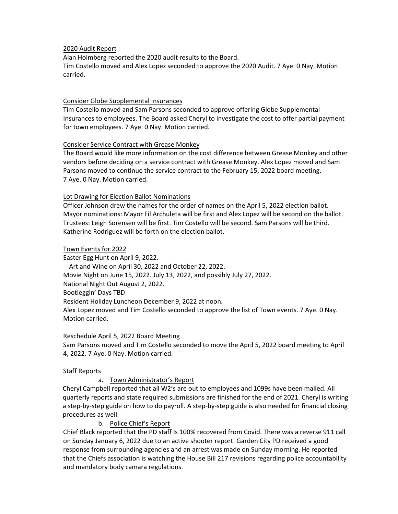## 2020 Audit Report

Alan Holmberg reported the 2020 audit results to the Board. Tim Costello moved and Alex Lopez seconded to approve the 2020 Audit. 7 Aye. 0 Nay. Motion carried.

## Consider Globe Supplemental Insurances

Tim Costello moved and Sam Parsons seconded to approve offering Globe Supplemental Insurances to employees. The Board asked Cheryl to investigate the cost to offer partial payment for town employees. 7 Aye. 0 Nay. Motion carried.

#### Consider Service Contract with Grease Monkey

The Board would like more information on the cost difference between Grease Monkey and other vendors before deciding on a service contract with Grease Monkey. Alex Lopez moved and Sam Parsons moved to continue the service contract to the February 15, 2022 board meeting. 7 Aye. 0 Nay. Motion carried.

## Lot Drawing for Election Ballot Nominations

Officer Johnson drew the names for the order of names on the April 5, 2022 election ballot. Mayor nominations: Mayor Fil Archuleta will be first and Alex Lopez will be second on the ballot. Trustees: Leigh Sorensen will be first. Tim Costello will be second. Sam Parsons will be third. Katherine Rodriguez will be forth on the election ballot.

## Town Events for 2022

Easter Egg Hunt on April 9, 2022. Art and Wine on April 30, 2022 and October 22, 2022. Movie Night on June 15, 2022. July 13, 2022, and possibly July 27, 2022. National Night Out August 2, 2022. Bootleggin' Days TBD Resident Holiday Luncheon December 9, 2022 at noon. Alex Lopez moved and Tim Costello seconded to approve the list of Town events. 7 Aye. 0 Nay. Motion carried.

# Reschedule April 5, 2022 Board Meeting

Sam Parsons moved and Tim Costello seconded to move the April 5, 2022 board meeting to April 4, 2022. 7 Aye. 0 Nay. Motion carried.

# Staff Reports

# a. Town Administrator's Report

Cheryl Campbell reported that all W2's are out to employees and 1099s have been mailed. All quarterly reports and state required submissions are finished for the end of 2021. Cheryl is writing a step-by-step guide on how to do payroll. A step-by-step guide is also needed for financial closing procedures as well.

b. Police Chief's Report

Chief Black reported that the PD staff Is 100% recovered from Covid. There was a reverse 911 call on Sunday January 6, 2022 due to an active shooter report. Garden City PD received a good response from surrounding agencies and an arrest was made on Sunday morning. He reported that the Chiefs association is watching the House Bill 217 revisions regarding police accountability and mandatory body camara regulations.